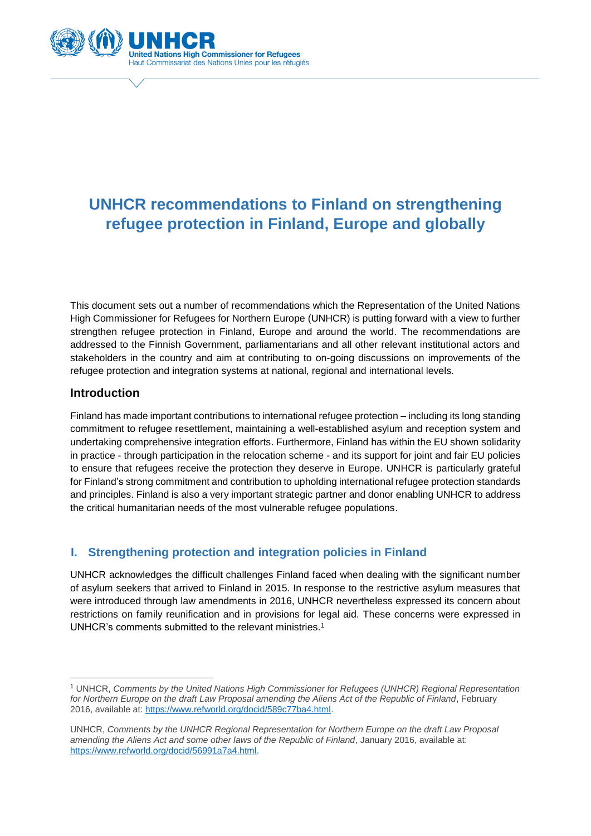

# **UNHCR recommendations to Finland on strengthening refugee protection in Finland, Europe and globally**

This document sets out a number of recommendations which the Representation of the United Nations High Commissioner for Refugees for Northern Europe (UNHCR) is putting forward with a view to further strengthen refugee protection in Finland, Europe and around the world. The recommendations are addressed to the Finnish Government, parliamentarians and all other relevant institutional actors and stakeholders in the country and aim at contributing to on-going discussions on improvements of the refugee protection and integration systems at national, regional and international levels.

# **Introduction**

**.** 

Finland has made important contributions to international refugee protection – including its long standing commitment to refugee resettlement, maintaining a well-established asylum and reception system and undertaking comprehensive integration efforts. Furthermore, Finland has within the EU shown solidarity in practice - through participation in the relocation scheme - and its support for joint and fair EU policies to ensure that refugees receive the protection they deserve in Europe. UNHCR is particularly grateful for Finland's strong commitment and contribution to upholding international refugee protection standards and principles. Finland is also a very important strategic partner and donor enabling UNHCR to address the critical humanitarian needs of the most vulnerable refugee populations.

# **I. Strengthening protection and integration policies in Finland**

UNHCR acknowledges the difficult challenges Finland faced when dealing with the significant number of asylum seekers that arrived to Finland in 2015. In response to the restrictive asylum measures that were introduced through law amendments in 2016, UNHCR nevertheless expressed its concern about restrictions on family reunification and in provisions for legal aid. These concerns were expressed in UNHCR's comments submitted to the relevant ministries.<sup>1</sup>

<sup>1</sup> UNHCR, *Comments by the United Nations High Commissioner for Refugees (UNHCR) Regional Representation for Northern Europe on the draft Law Proposal amending the Aliens Act of the Republic of Finland*, February 2016, available at: [https://www.refworld.org/docid/589c77ba4.html.](https://www.refworld.org/docid/589c77ba4.html)

UNHCR, *Comments by the UNHCR Regional Representation for Northern Europe on the draft Law Proposal amending the Aliens Act and some other laws of the Republic of Finland*, January 2016, available at: [https://www.refworld.org/docid/56991a7a4.html.](https://www.refworld.org/docid/56991a7a4.html)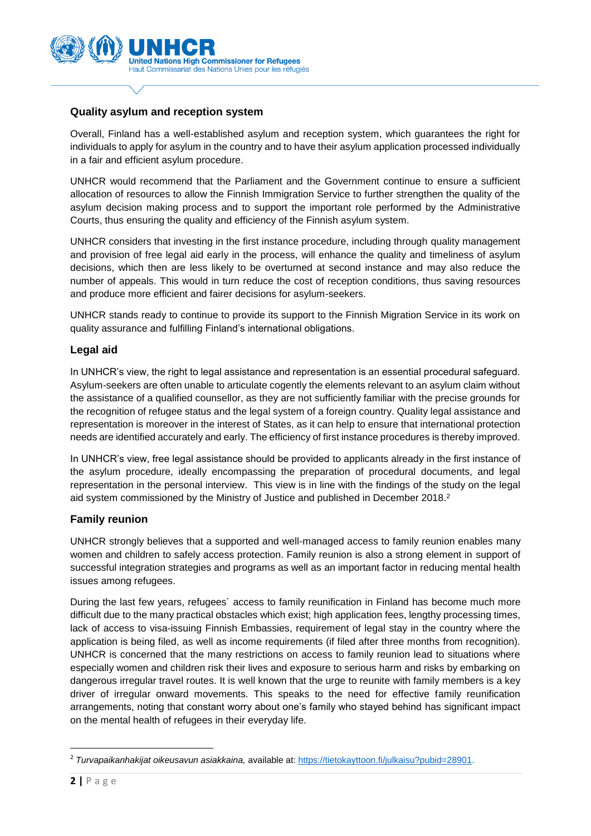

## **Quality asylum and reception system**

Overall, Finland has a well-established asylum and reception system, which guarantees the right for individuals to apply for asylum in the country and to have their asylum application processed individually in a fair and efficient asylum procedure.

UNHCR would recommend that the Parliament and the Government continue to ensure a sufficient allocation of resources to allow the Finnish Immigration Service to further strengthen the quality of the asylum decision making process and to support the important role performed by the Administrative Courts, thus ensuring the quality and efficiency of the Finnish asylum system.

UNHCR considers that investing in the first instance procedure, including through quality management and provision of free legal aid early in the process, will enhance the quality and timeliness of asylum decisions, which then are less likely to be overturned at second instance and may also reduce the number of appeals. This would in turn reduce the cost of reception conditions, thus saving resources and produce more efficient and fairer decisions for asylum-seekers.

UNHCR stands ready to continue to provide its support to the Finnish Migration Service in its work on quality assurance and fulfilling Finland's international obligations.

#### **Legal aid**

In UNHCR's view, the right to legal assistance and representation is an essential procedural safeguard. Asylum-seekers are often unable to articulate cogently the elements relevant to an asylum claim without the assistance of a qualified counsellor, as they are not sufficiently familiar with the precise grounds for the recognition of refugee status and the legal system of a foreign country. Quality legal assistance and representation is moreover in the interest of States, as it can help to ensure that international protection needs are identified accurately and early. The efficiency of first instance procedures is thereby improved.

In UNHCR's view, free legal assistance should be provided to applicants already in the first instance of the asylum procedure, ideally encompassing the preparation of procedural documents, and legal representation in the personal interview. This view is in line with the findings of the study on the legal aid system commissioned by the Ministry of Justice and published in December 2018. 2

## **Family reunion**

UNHCR strongly believes that a supported and well-managed access to family reunion enables many women and children to safely access protection. Family reunion is also a strong element in support of successful integration strategies and programs as well as an important factor in reducing mental health issues among refugees.

During the last few years, refugees´ access to family reunification in Finland has become much more difficult due to the many practical obstacles which exist; high application fees, lengthy processing times, lack of access to visa-issuing Finnish Embassies, requirement of legal stay in the country where the application is being filed, as well as income requirements (if filed after three months from recognition). UNHCR is concerned that the many restrictions on access to family reunion lead to situations where especially women and children risk their lives and exposure to serious harm and risks by embarking on dangerous irregular travel routes. It is well known that the urge to reunite with family members is a key driver of irregular onward movements. This speaks to the need for effective family reunification arrangements, noting that constant worry about one's family who stayed behind has significant impact on the mental health of refugees in their everyday life.

**.** 

<sup>&</sup>lt;sup>2</sup> Turvapaikanhakijat oikeusavun asiakkaina, available at[: https://tietokayttoon.fi/julkaisu?pubid=28901.](https://tietokayttoon.fi/julkaisu?pubid=28901)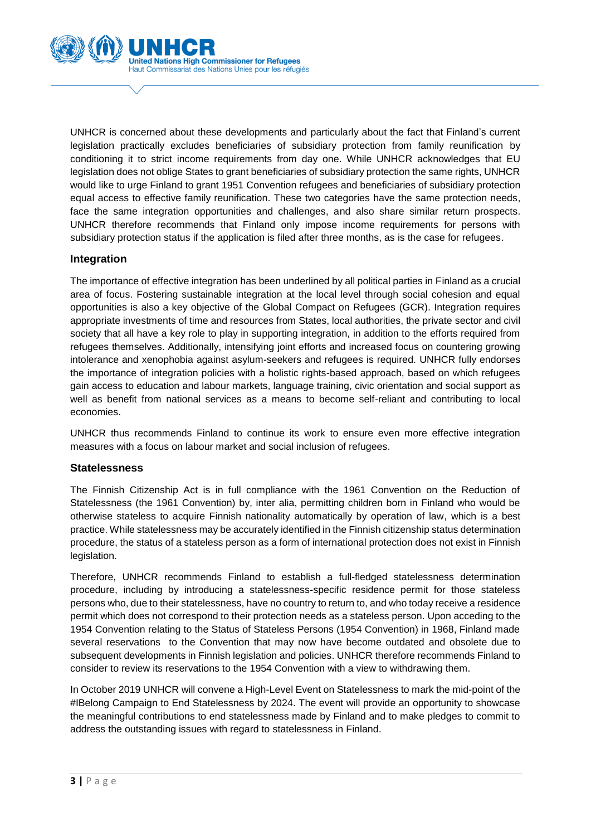

UNHCR is concerned about these developments and particularly about the fact that Finland's current legislation practically excludes beneficiaries of subsidiary protection from family reunification by conditioning it to strict income requirements from day one. While UNHCR acknowledges that EU legislation does not oblige States to grant beneficiaries of subsidiary protection the same rights, UNHCR would like to urge Finland to grant 1951 Convention refugees and beneficiaries of subsidiary protection equal access to effective family reunification. These two categories have the same protection needs, face the same integration opportunities and challenges, and also share similar return prospects. UNHCR therefore recommends that Finland only impose income requirements for persons with subsidiary protection status if the application is filed after three months, as is the case for refugees.

#### **Integration**

The importance of effective integration has been underlined by all political parties in Finland as a crucial area of focus. Fostering sustainable integration at the local level through social cohesion and equal opportunities is also a key objective of the Global Compact on Refugees (GCR). Integration requires appropriate investments of time and resources from States, local authorities, the private sector and civil society that all have a key role to play in supporting integration, in addition to the efforts required from refugees themselves. Additionally, intensifying joint efforts and increased focus on countering growing intolerance and xenophobia against asylum-seekers and refugees is required. UNHCR fully endorses the importance of integration policies with a holistic rights-based approach, based on which refugees gain access to education and labour markets, language training, civic orientation and social support as well as benefit from national services as a means to become self-reliant and contributing to local economies.

UNHCR thus recommends Finland to continue its work to ensure even more effective integration measures with a focus on labour market and social inclusion of refugees.

#### **Statelessness**

The Finnish Citizenship Act is in full compliance with the 1961 Convention on the Reduction of Statelessness (the 1961 Convention) by, inter alia, permitting children born in Finland who would be otherwise stateless to acquire Finnish nationality automatically by operation of law, which is a best practice. While statelessness may be accurately identified in the Finnish citizenship status determination procedure, the status of a stateless person as a form of international protection does not exist in Finnish legislation.

Therefore, UNHCR recommends Finland to establish a full-fledged statelessness determination procedure, including by introducing a statelessness-specific residence permit for those stateless persons who, due to their statelessness, have no country to return to, and who today receive a residence permit which does not correspond to their protection needs as a stateless person. Upon acceding to the 1954 Convention relating to the Status of Stateless Persons (1954 Convention) in 1968, Finland made several reservations to the Convention that may now have become outdated and obsolete due to subsequent developments in Finnish legislation and policies. UNHCR therefore recommends Finland to consider to review its reservations to the 1954 Convention with a view to withdrawing them.

In October 2019 UNHCR will convene a High-Level Event on Statelessness to mark the mid-point of the #IBelong Campaign to End Statelessness by 2024. The event will provide an opportunity to showcase the meaningful contributions to end statelessness made by Finland and to make pledges to commit to address the outstanding issues with regard to statelessness in Finland.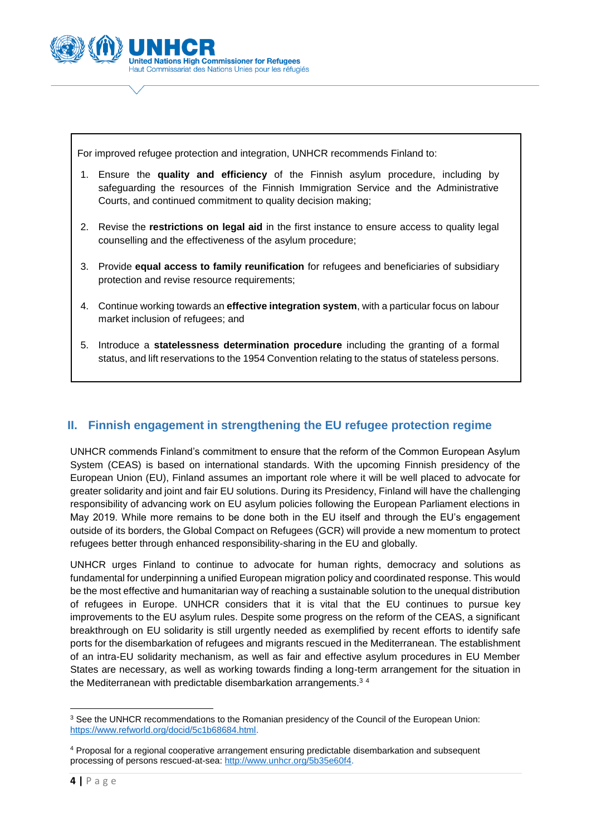

For improved refugee protection and integration, UNHCR recommends Finland to:

- 1. Ensure the **quality and efficiency** of the Finnish asylum procedure, including by safeguarding the resources of the Finnish Immigration Service and the Administrative Courts, and continued commitment to quality decision making;
- 2. Revise the **restrictions on legal aid** in the first instance to ensure access to quality legal counselling and the effectiveness of the asylum procedure;
- 3. Provide **equal access to family reunification** for refugees and beneficiaries of subsidiary protection and revise resource requirements;
- 4. Continue working towards an **effective integration system**, with a particular focus on labour market inclusion of refugees; and
- 5. Introduce a **statelessness determination procedure** including the granting of a formal status, and lift reservations to the 1954 Convention relating to the status of stateless persons.

# **II. Finnish engagement in strengthening the EU refugee protection regime**

UNHCR commends Finland's commitment to ensure that the reform of the Common European Asylum System (CEAS) is based on international standards. With the upcoming Finnish presidency of the European Union (EU), Finland assumes an important role where it will be well placed to advocate for greater solidarity and joint and fair EU solutions. During its Presidency, Finland will have the challenging responsibility of advancing work on EU asylum policies following the European Parliament elections in May 2019. While more remains to be done both in the EU itself and through the EU's engagement outside of its borders, the Global Compact on Refugees (GCR) will provide a new momentum to protect refugees better through enhanced responsibility-sharing in the EU and globally.

UNHCR urges Finland to continue to advocate for human rights, democracy and solutions as fundamental for underpinning a unified European migration policy and coordinated response. This would be the most effective and humanitarian way of reaching a sustainable solution to the unequal distribution of refugees in Europe. UNHCR considers that it is vital that the EU continues to pursue key improvements to the EU asylum rules. Despite some progress on the reform of the CEAS, a significant breakthrough on EU solidarity is still urgently needed as exemplified by recent efforts to identify safe ports for the disembarkation of refugees and migrants rescued in the Mediterranean. The establishment of an intra-EU solidarity mechanism, as well as fair and effective asylum procedures in EU Member States are necessary, as well as working towards finding a long-term arrangement for the situation in the Mediterranean with predictable disembarkation arrangements.<sup>34</sup>

<sup>1</sup> <sup>3</sup> See the UNHCR recommendations to the Romanian presidency of the Council of the European Union: [https://www.refworld.org/docid/5c1b68684.html.](https://www.refworld.org/docid/5c1b68684.html)

<sup>4</sup> Proposal for a regional cooperative arrangement ensuring predictable disembarkation and subsequent processing of persons rescued-at-sea: [http://www.unhcr.org/5b35e60f4.](http://www.unhcr.org/5b35e60f4)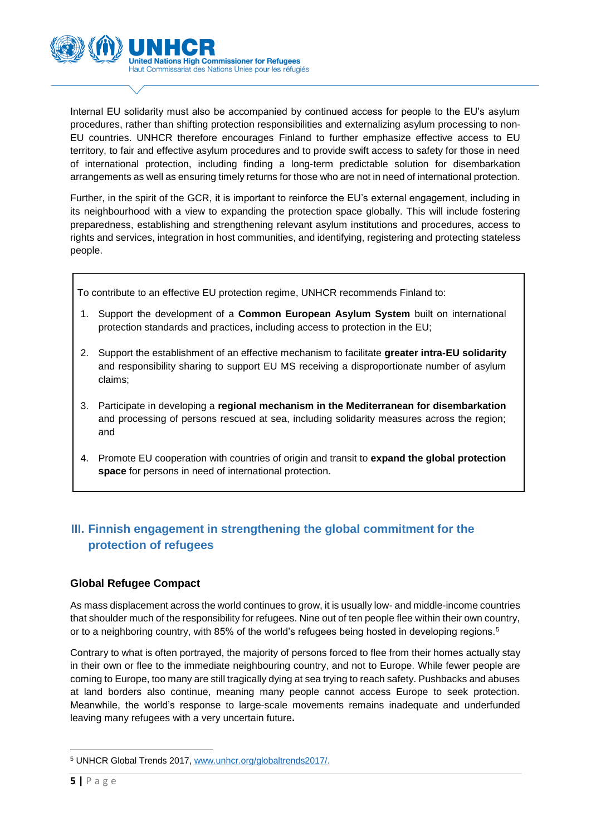

Internal EU solidarity must also be accompanied by continued access for people to the EU's asylum procedures, rather than shifting protection responsibilities and externalizing asylum processing to non-EU countries. UNHCR therefore encourages Finland to further emphasize effective access to EU territory, to fair and effective asylum procedures and to provide swift access to safety for those in need of international protection, including finding a long-term predictable solution for disembarkation arrangements as well as ensuring timely returns for those who are not in need of international protection.

Further, in the spirit of the GCR, it is important to reinforce the EU's external engagement, including in its neighbourhood with a view to expanding the protection space globally. This will include fostering preparedness, establishing and strengthening relevant asylum institutions and procedures, access to rights and services, integration in host communities, and identifying, registering and protecting stateless people.

To contribute to an effective EU protection regime, UNHCR recommends Finland to:

- 1. Support the development of a **Common European Asylum System** built on international protection standards and practices, including access to protection in the EU;
- 2. Support the establishment of an effective mechanism to facilitate **greater intra-EU solidarity** and responsibility sharing to support EU MS receiving a disproportionate number of asylum claims;
- 3. Participate in developing a **regional mechanism in the Mediterranean for disembarkation** and processing of persons rescued at sea, including solidarity measures across the region; and
- 4. Promote EU cooperation with countries of origin and transit to **expand the global protection space** for persons in need of international protection.

# **III. Finnish engagement in strengthening the global commitment for the protection of refugees**

## **Global Refugee Compact**

As mass displacement across the world continues to grow, it is usually low- and middle-income countries that shoulder much of the responsibility for refugees. Nine out of ten people flee within their own country, or to a neighboring country, with 85% of the world's refugees being hosted in developing regions.<sup>5</sup>

Contrary to what is often portrayed, the majority of persons forced to flee from their homes actually stay in their own or flee to the immediate neighbouring country, and not to Europe. While fewer people are coming to Europe, too many are still tragically dying at sea trying to reach safety. Pushbacks and abuses at land borders also continue, meaning many people cannot access Europe to seek protection. Meanwhile, the world's response to large-scale movements remains inadequate and underfunded leaving many refugees with a very uncertain future**.** 

**<sup>.</sup>** <sup>5</sup> UNHCR Global Trends 2017[, www.unhcr.org/globaltrends2017/.](http://www.unhcr.org/globaltrends2017/)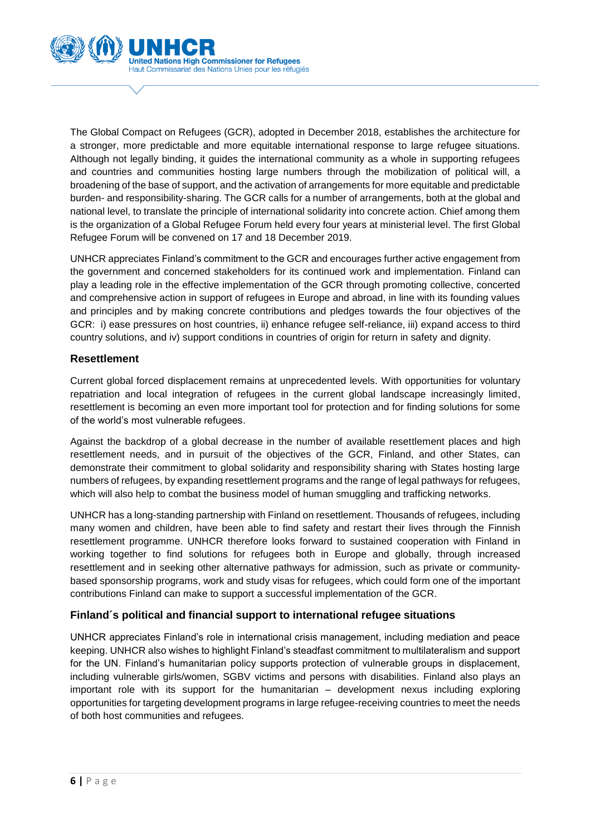

The Global Compact on Refugees (GCR), adopted in December 2018, establishes the architecture for a stronger, more predictable and more equitable international response to large refugee situations. Although not legally binding, it guides the international community as a whole in supporting refugees and countries and communities hosting large numbers through the mobilization of political will, a broadening of the base of support, and the activation of arrangements for more equitable and predictable burden- and responsibility-sharing. The GCR calls for a number of arrangements, both at the global and national level, to translate the principle of international solidarity into concrete action. Chief among them is the organization of a Global Refugee Forum held every four years at ministerial level. The first Global Refugee Forum will be convened on 17 and 18 December 2019.

UNHCR appreciates Finland's commitment to the GCR and encourages further active engagement from the government and concerned stakeholders for its continued work and implementation. Finland can play a leading role in the effective implementation of the GCR through promoting collective, concerted and comprehensive action in support of refugees in Europe and abroad, in line with its founding values and principles and by making concrete contributions and pledges towards the four objectives of the GCR: i) ease pressures on host countries, ii) enhance refugee self-reliance, iii) expand access to third country solutions, and iv) support conditions in countries of origin for return in safety and dignity.

#### **Resettlement**

Current global forced displacement remains at unprecedented levels. With opportunities for voluntary repatriation and local integration of refugees in the current global landscape increasingly limited, resettlement is becoming an even more important tool for protection and for finding solutions for some of the world's most vulnerable refugees.

Against the backdrop of a global decrease in the number of available resettlement places and high resettlement needs, and in pursuit of the objectives of the GCR, Finland, and other States, can demonstrate their commitment to global solidarity and responsibility sharing with States hosting large numbers of refugees, by expanding resettlement programs and the range of legal pathways for refugees, which will also help to combat the business model of human smuggling and trafficking networks.

UNHCR has a long-standing partnership with Finland on resettlement. Thousands of refugees, including many women and children, have been able to find safety and restart their lives through the Finnish resettlement programme. UNHCR therefore looks forward to sustained cooperation with Finland in working together to find solutions for refugees both in Europe and globally, through increased resettlement and in seeking other alternative pathways for admission, such as private or communitybased sponsorship programs, work and study visas for refugees, which could form one of the important contributions Finland can make to support a successful implementation of the GCR.

## **Finland´s political and financial support to international refugee situations**

UNHCR appreciates Finland's role in international crisis management, including mediation and peace keeping. UNHCR also wishes to highlight Finland's steadfast commitment to multilateralism and support for the UN. Finland's humanitarian policy supports protection of vulnerable groups in displacement, including vulnerable girls/women, SGBV victims and persons with disabilities. Finland also plays an important role with its support for the humanitarian – development nexus including exploring opportunities for targeting development programs in large refugee-receiving countries to meet the needs of both host communities and refugees.